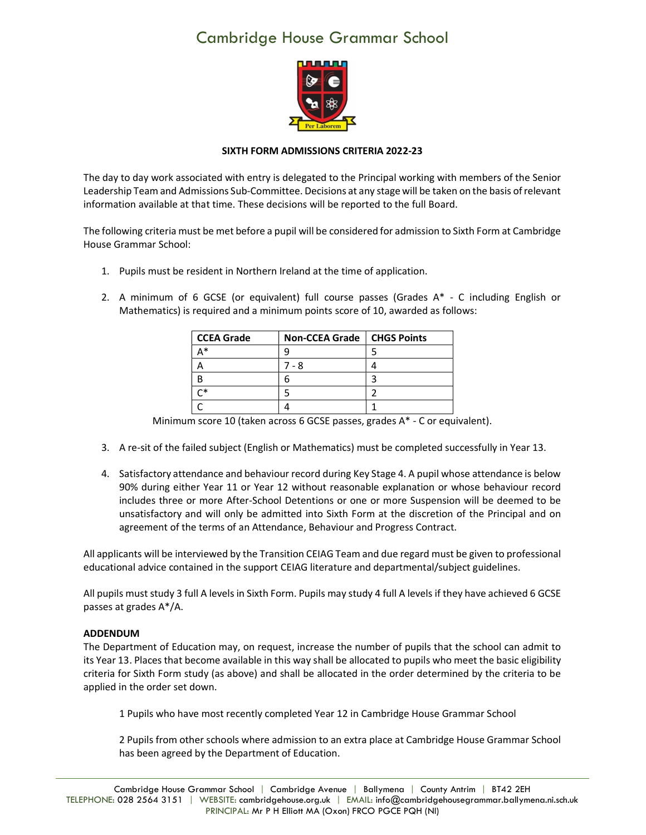## Cambridge House Grammar School



## SIXTH FORM ADMISSIONS CRITERIA 2022-23

The day to day work associated with entry is delegated to the Principal working with members of the Senior Leadership Team and Admissions Sub-Committee. Decisions at any stage will be taken on the basis of relevant information available at that time. These decisions will be reported to the full Board.

The following criteria must be met before a pupil will be considered for admission to Sixth Form at Cambridge House Grammar School:

- 1. Pupils must be resident in Northern Ireland at the time of application.
- 2. A minimum of 6 GCSE (or equivalent) full course passes (Grades A\* C including English or Mathematics) is required and a minimum points score of 10, awarded as follows:

| <b>CCEA Grade</b> | Non-CCEA Grade   CHGS Points |  |
|-------------------|------------------------------|--|
| ∗                 |                              |  |
|                   | 7 - 8                        |  |
|                   |                              |  |
|                   |                              |  |
|                   |                              |  |

Minimum score 10 (taken across 6 GCSE passes, grades A\* - C or equivalent).

- 3. A re-sit of the failed subject (English or Mathematics) must be completed successfully in Year 13.
- 4. Satisfactory attendance and behaviour record during Key Stage 4. A pupil whose attendance is below 90% during either Year 11 or Year 12 without reasonable explanation or whose behaviour record includes three or more After-School Detentions or one or more Suspension will be deemed to be unsatisfactory and will only be admitted into Sixth Form at the discretion of the Principal and on agreement of the terms of an Attendance, Behaviour and Progress Contract.

All applicants will be interviewed by the Transition CEIAG Team and due regard must be given to professional educational advice contained in the support CEIAG literature and departmental/subject guidelines.

All pupils must study 3 full A levels in Sixth Form. Pupils may study 4 full A levels if they have achieved 6 GCSE passes at grades A\*/A.

## ADDENDUM

The Department of Education may, on request, increase the number of pupils that the school can admit to its Year 13. Places that become available in this way shall be allocated to pupils who meet the basic eligibility criteria for Sixth Form study (as above) and shall be allocated in the order determined by the criteria to be applied in the order set down.

1 Pupils who have most recently completed Year 12 in Cambridge House Grammar School

2 Pupils from other schools where admission to an extra place at Cambridge House Grammar School has been agreed by the Department of Education.